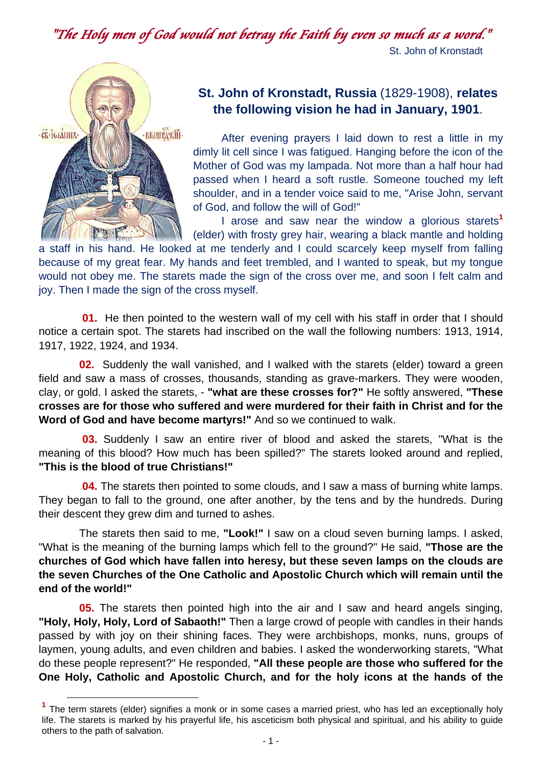"The Holy men of God would not betray the Faith by even so much as a word." St. John of Kronstadt



# **St. John of Kronstadt, Russia** (1829-1908), **relates the following vision he had in January, 1901**.

After evening prayers I laid down to rest a little in my dimly lit cell since I was fatigued. Hanging before the icon of the Mother of God was my lampada. Not more than a half hour had passed when I heard a soft rustle. Someone touched my left shoulder, and in a tender voice said to me, "Arise John, servant of God, and follow the will of God!"

I arose and saw near the window a glorious starets**<sup>1</sup>** (elder) with frosty grey hair, wearing a black mantle and holding

a staff in his hand. He looked at me tenderly and I could scarcely keep myself from falling because of my great fear. My hands and feet trembled, and I wanted to speak, but my tongue would not obey me. The starets made the sign of the cross over me, and soon I felt calm and joy. Then I made the sign of the cross myself.

 **01.** He then pointed to the western wall of my cell with his staff in order that I should notice a certain spot. The starets had inscribed on the wall the following numbers: 1913, 1914, 1917, 1922, 1924, and 1934.

 **02.** Suddenly the wall vanished, and I walked with the starets (elder) toward a green field and saw a mass of crosses, thousands, standing as grave-markers. They were wooden, clay, or gold. I asked the starets, - **"what are these crosses for?"** He softly answered, **"These crosses are for those who suffered and were murdered for their faith in Christ and for the Word of God and have become martyrs!"** And so we continued to walk.

 **03.** Suddenly I saw an entire river of blood and asked the starets, "What is the meaning of this blood? How much has been spilled?" The starets looked around and replied, **"This is the blood of true Christians!"**

 **04.** The starets then pointed to some clouds, and I saw a mass of burning white lamps. They began to fall to the ground, one after another, by the tens and by the hundreds. During their descent they grew dim and turned to ashes.

 The starets then said to me, **"Look!"** I saw on a cloud seven burning lamps. I asked, "What is the meaning of the burning lamps which fell to the ground?" He said, **"Those are the churches of God which have fallen into heresy, but these seven lamps on the clouds are the seven Churches of the One Catholic and Apostolic Church which will remain until the end of the world!"**

 **05.** The starets then pointed high into the air and I saw and heard angels singing, **"Holy, Holy, Holy, Lord of Sabaoth!"** Then a large crowd of people with candles in their hands passed by with joy on their shining faces. They were archbishops, monks, nuns, groups of laymen, young adults, and even children and babies. I asked the wonderworking starets, "What do these people represent?" He responded, **"All these people are those who suffered for the One Holy, Catholic and Apostolic Church, and for the holy icons at the hands of the** 

**<sup>1</sup>** The term starets (elder) signifies a monk or in some cases a married priest, who has led an exceptionally holy life. The starets is marked by his prayerful life, his asceticism both physical and spiritual, and his ability to guide others to the path of salvation.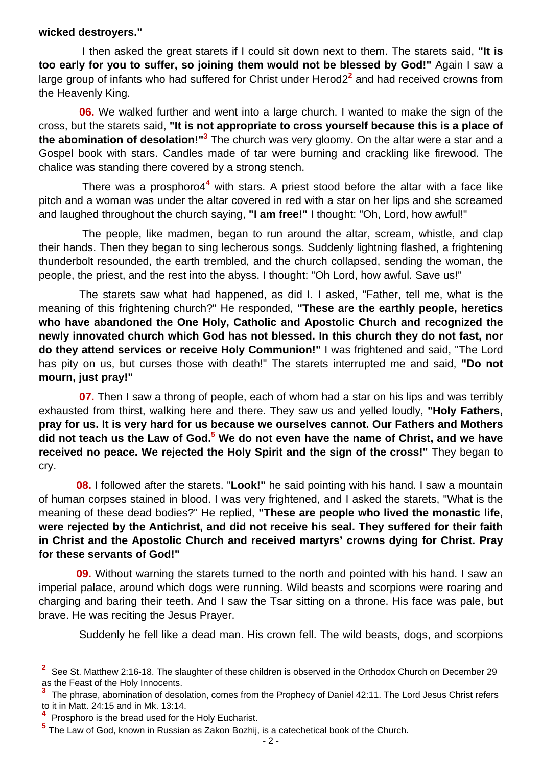#### **wicked destroyers."**

 I then asked the great starets if I could sit down next to them. The starets said, **"It is too early for you to suffer, so joining them would not be blessed by God!"** Again I saw a large group of infants who had suffered for Christ under Herod2<sup>2</sup> and had received crowns from the Heavenly King.

 **06.** We walked further and went into a large church. I wanted to make the sign of the cross, but the starets said, **"It is not appropriate to cross yourself because this is a place of the abomination of desolation!"<sup>3</sup> The church was very gloomy. On the altar were a star and a** Gospel book with stars. Candles made of tar were burning and crackling like firewood. The chalice was standing there covered by a strong stench.

There was a prosphoro4<sup>4</sup> with stars. A priest stood before the altar with a face like pitch and a woman was under the altar covered in red with a star on her lips and she screamed and laughed throughout the church saying, **"I am free!"** I thought: "Oh, Lord, how awful!"

 The people, like madmen, began to run around the altar, scream, whistle, and clap their hands. Then they began to sing lecherous songs. Suddenly lightning flashed, a frightening thunderbolt resounded, the earth trembled, and the church collapsed, sending the woman, the people, the priest, and the rest into the abyss. I thought: "Oh Lord, how awful. Save us!"

 The starets saw what had happened, as did I. I asked, "Father, tell me, what is the meaning of this frightening church?" He responded, **"These are the earthly people, heretics who have abandoned the One Holy, Catholic and Apostolic Church and recognized the newly innovated church which God has not blessed. In this church they do not fast, nor do they attend services or receive Holy Communion!"** I was frightened and said, "The Lord has pity on us, but curses those with death!" The starets interrupted me and said, **"Do not mourn, just pray!"** 

**07.** Then I saw a throng of people, each of whom had a star on his lips and was terribly exhausted from thirst, walking here and there. They saw us and yelled loudly, **"Holy Fathers, pray for us. It is very hard for us because we ourselves cannot. Our Fathers and Mothers**  did not teach us the Law of God.<sup>5</sup> We do not even have the name of Christ, and we have **received no peace. We rejected the Holy Spirit and the sign of the cross!"** They began to cry.

 **08.** I followed after the starets. "**Look!"** he said pointing with his hand. I saw a mountain of human corpses stained in blood. I was very frightened, and I asked the starets, "What is the meaning of these dead bodies?" He replied, **"These are people who lived the monastic life, were rejected by the Antichrist, and did not receive his seal. They suffered for their faith in Christ and the Apostolic Church and received martyrs' crowns dying for Christ. Pray for these servants of God!"**

 **09.** Without warning the starets turned to the north and pointed with his hand. I saw an imperial palace, around which dogs were running. Wild beasts and scorpions were roaring and charging and baring their teeth. And I saw the Tsar sitting on a throne. His face was pale, but brave. He was reciting the Jesus Prayer.

Suddenly he fell like a dead man. His crown fell. The wild beasts, dogs, and scorpions

**<sup>2</sup>**<br><sup>2</sup> See St. Matthew 2:16-18. The slaughter of these children is observed in the Orthodox Church on December 29 as the Feast of the Holy Innocents.

<sup>&</sup>lt;sup>3</sup> The phrase, abomination of desolation, comes from the Prophecy of Daniel 42:11. The Lord Jesus Christ refers to it in Matt. 24:15 and in Mk. 13:14.

**<sup>4</sup>** Prosphoro is the bread used for the Holy Eucharist.

**<sup>5</sup>** The Law of God, known in Russian as Zakon Bozhij, is a catechetical book of the Church.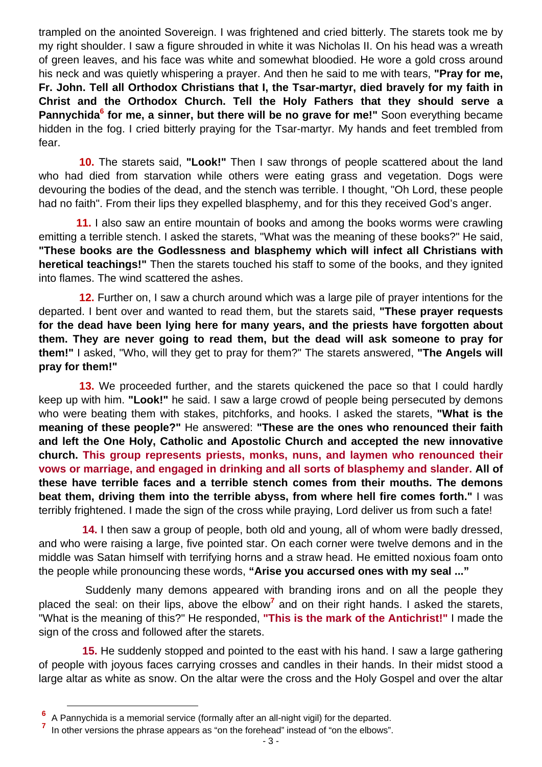trampled on the anointed Sovereign. I was frightened and cried bitterly. The starets took me by my right shoulder. I saw a figure shrouded in white it was Nicholas II. On his head was a wreath of green leaves, and his face was white and somewhat bloodied. He wore a gold cross around his neck and was quietly whispering a prayer. And then he said to me with tears, **"Pray for me, Fr. John. Tell all Orthodox Christians that I, the Tsar-martyr, died bravely for my faith in Christ and the Orthodox Church. Tell the Holy Fathers that they should serve a**  Pannychida<sup>6</sup> for me, a sinner, but there will be no grave for me!" Soon everything became hidden in the fog. I cried bitterly praying for the Tsar-martyr. My hands and feet trembled from fear.

 **10.** The starets said, **"Look!"** Then I saw throngs of people scattered about the land who had died from starvation while others were eating grass and vegetation. Dogs were devouring the bodies of the dead, and the stench was terrible. I thought, "Oh Lord, these people had no faith". From their lips they expelled blasphemy, and for this they received God's anger.

 **11.** I also saw an entire mountain of books and among the books worms were crawling emitting a terrible stench. I asked the starets, "What was the meaning of these books?" He said, **"These books are the Godlessness and blasphemy which will infect all Christians with heretical teachings!"** Then the starets touched his staff to some of the books, and they ignited into flames. The wind scattered the ashes.

 **12.** Further on, I saw a church around which was a large pile of prayer intentions for the departed. I bent over and wanted to read them, but the starets said, **"These prayer requests for the dead have been lying here for many years, and the priests have forgotten about them. They are never going to read them, but the dead will ask someone to pray for them!"** I asked, "Who, will they get to pray for them?" The starets answered, **"The Angels will pray for them!"** 

 **13.** We proceeded further, and the starets quickened the pace so that I could hardly keep up with him. **"Look!"** he said. I saw a large crowd of people being persecuted by demons who were beating them with stakes, pitchforks, and hooks. I asked the starets, **"What is the meaning of these people?"** He answered: **"These are the ones who renounced their faith and left the One Holy, Catholic and Apostolic Church and accepted the new innovative church. This group represents priests, monks, nuns, and laymen who renounced their vows or marriage, and engaged in drinking and all sorts of blasphemy and slander. All of these have terrible faces and a terrible stench comes from their mouths. The demons beat them, driving them into the terrible abyss, from where hell fire comes forth."** I was terribly frightened. I made the sign of the cross while praying, Lord deliver us from such a fate!

 **14.** I then saw a group of people, both old and young, all of whom were badly dressed, and who were raising a large, five pointed star. On each corner were twelve demons and in the middle was Satan himself with terrifying horns and a straw head. He emitted noxious foam onto the people while pronouncing these words, **"Arise you accursed ones with my seal ..."**

 Suddenly many demons appeared with branding irons and on all the people they placed the seal: on their lips, above the elbow<sup>7</sup> and on their right hands. I asked the starets, "What is the meaning of this?" He responded, **"This is the mark of the Antichrist!"** I made the sign of the cross and followed after the starets.

 **15.** He suddenly stopped and pointed to the east with his hand. I saw a large gathering of people with joyous faces carrying crosses and candles in their hands. In their midst stood a large altar as white as snow. On the altar were the cross and the Holy Gospel and over the altar

**<sup>6</sup>**<br> **6** A Pannychida is a memorial service (formally after an all-night vigil) for the departed.

**<sup>7</sup>** In other versions the phrase appears as "on the forehead" instead of "on the elbows".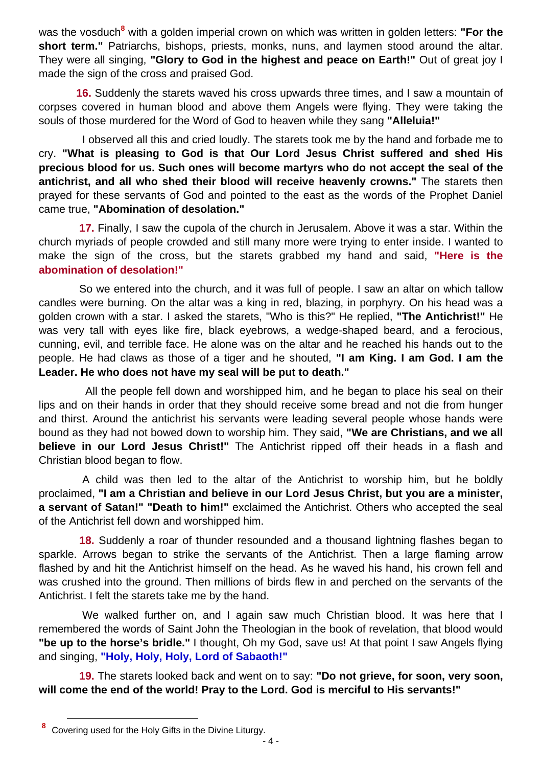was the vosduch<sup>8</sup> with a golden imperial crown on which was written in golden letters: "For the **short term."** Patriarchs, bishops, priests, monks, nuns, and laymen stood around the altar. They were all singing, **"Glory to God in the highest and peace on Earth!"** Out of great joy I made the sign of the cross and praised God.

 **16.** Suddenly the starets waved his cross upwards three times, and I saw a mountain of corpses covered in human blood and above them Angels were flying. They were taking the souls of those murdered for the Word of God to heaven while they sang **"Alleluia!"**

 I observed all this and cried loudly. The starets took me by the hand and forbade me to cry. **"What is pleasing to God is that Our Lord Jesus Christ suffered and shed His precious blood for us. Such ones will become martyrs who do not accept the seal of the antichrist, and all who shed their blood will receive heavenly crowns."** The starets then prayed for these servants of God and pointed to the east as the words of the Prophet Daniel came true, **"Abomination of desolation."**

 **17.** Finally, I saw the cupola of the church in Jerusalem. Above it was a star. Within the church myriads of people crowded and still many more were trying to enter inside. I wanted to make the sign of the cross, but the starets grabbed my hand and said, **"Here is the abomination of desolation!"** 

 So we entered into the church, and it was full of people. I saw an altar on which tallow candles were burning. On the altar was a king in red, blazing, in porphyry. On his head was a golden crown with a star. I asked the starets, "Who is this?" He replied, **"The Antichrist!"** He was very tall with eyes like fire, black eyebrows, a wedge-shaped beard, and a ferocious, cunning, evil, and terrible face. He alone was on the altar and he reached his hands out to the people. He had claws as those of a tiger and he shouted, **"I am King. I am God. I am the Leader. He who does not have my seal will be put to death."**

 All the people fell down and worshipped him, and he began to place his seal on their lips and on their hands in order that they should receive some bread and not die from hunger and thirst. Around the antichrist his servants were leading several people whose hands were bound as they had not bowed down to worship him. They said, **"We are Christians, and we all believe in our Lord Jesus Christ!"** The Antichrist ripped off their heads in a flash and Christian blood began to flow.

 A child was then led to the altar of the Antichrist to worship him, but he boldly proclaimed, **"I am a Christian and believe in our Lord Jesus Christ, but you are a minister, a servant of Satan!" "Death to him!"** exclaimed the Antichrist. Others who accepted the seal of the Antichrist fell down and worshipped him.

 **18.** Suddenly a roar of thunder resounded and a thousand lightning flashes began to sparkle. Arrows began to strike the servants of the Antichrist. Then a large flaming arrow flashed by and hit the Antichrist himself on the head. As he waved his hand, his crown fell and was crushed into the ground. Then millions of birds flew in and perched on the servants of the Antichrist. I felt the starets take me by the hand.

We walked further on, and I again saw much Christian blood. It was here that I remembered the words of Saint John the Theologian in the book of revelation, that blood would **"be up to the horse's bridle."** I thought, Oh my God, save us! At that point I saw Angels flying and singing, **"Holy, Holy, Holy, Lord of Sabaoth!"**

 **19.** The starets looked back and went on to say: **"Do not grieve, for soon, very soon, will come the end of the world! Pray to the Lord. God is merciful to His servants!"**

**<sup>8</sup>** Covering used for the Holy Gifts in the Divine Liturgy.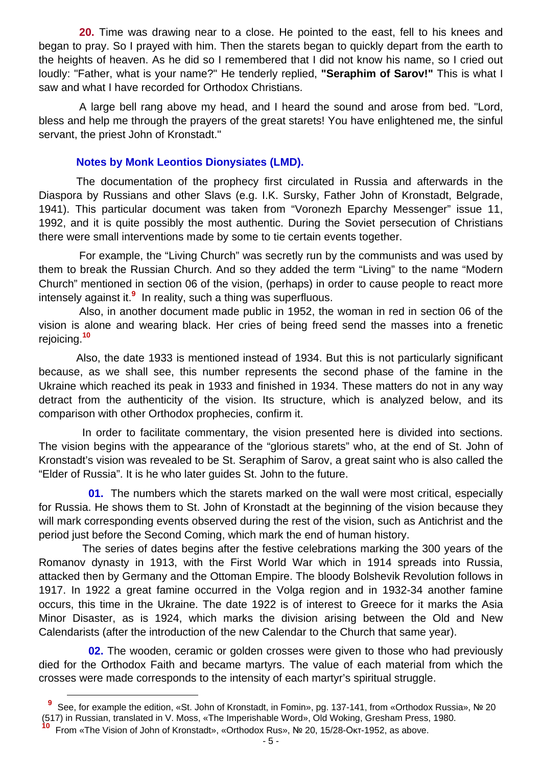**20.** Time was drawing near to a close. He pointed to the east, fell to his knees and began to pray. So I prayed with him. Then the starets began to quickly depart from the earth to the heights of heaven. As he did so I remembered that I did not know his name, so I cried out loudly: "Father, what is your name?" He tenderly replied, **"Seraphim of Sarov!"** This is what I saw and what I have recorded for Orthodox Christians.

 A large bell rang above my head, and I heard the sound and arose from bed. "Lord, bless and help me through the prayers of the great starets! You have enlightened me, the sinful servant, the priest John of Kronstadt."

#### **Notes by Monk Leontios Dionysiates (LMD).**

 The documentation of the prophecy first circulated in Russia and afterwards in the Diaspora by Russians and other Slavs (e.g. I.K. Sursky, Father John of Kronstadt, Belgrade, 1941). This particular document was taken from "Voronezh Eparchy Messenger" issue 11, 1992, and it is quite possibly the most authentic. During the Soviet persecution of Christians there were small interventions made by some to tie certain events together.

 For example, the "Living Church" was secretly run by the communists and was used by them to break the Russian Church. And so they added the term "Living" to the name "Modern Church" mentioned in section 06 of the vision, (perhaps) in order to cause people to react more intensely against it.**<sup>9</sup>** In reality, such a thing was superfluous.

 Also, in another document made public in 1952, the woman in red in section 06 of the vision is alone and wearing black. Her cries of being freed send the masses into a frenetic rejoicing.**<sup>10</sup>**

 Also, the date 1933 is mentioned instead of 1934. But this is not particularly significant because, as we shall see, this number represents the second phase of the famine in the Ukraine which reached its peak in 1933 and finished in 1934. These matters do not in any way detract from the authenticity of the vision. Its structure, which is analyzed below, and its comparison with other Orthodox prophecies, confirm it.

 In order to facilitate commentary, the vision presented here is divided into sections. The vision begins with the appearance of the "glorious starets" who, at the end of St. John of Kronstadt's vision was revealed to be St. Seraphim of Sarov, a great saint who is also called the "Elder of Russia". It is he who later guides St. John to the future.

 **01.** The numbers which the starets marked on the wall were most critical, especially for Russia. He shows them to St. John of Kronstadt at the beginning of the vision because they will mark corresponding events observed during the rest of the vision, such as Antichrist and the period just before the Second Coming, which mark the end of human history.

 The series of dates begins after the festive celebrations marking the 300 years of the Romanov dynasty in 1913, with the First World War which in 1914 spreads into Russia, attacked then by Germany and the Ottoman Empire. The bloody Bolshevik Revolution follows in 1917. In 1922 a great famine occurred in the Volga region and in 1932-34 another famine occurs, this time in the Ukraine. The date 1922 is of interest to Greece for it marks the Asia Minor Disaster, as is 1924, which marks the division arising between the Old and New Calendarists (after the introduction of the new Calendar to the Church that same year).

 **02.** The wooden, ceramic or golden crosses were given to those who had previously died for the Orthodox Faith and became martyrs. The value of each material from which the crosses were made corresponds to the intensity of each martyr's spiritual struggle.

l

**9** See, for example the edition, «St. John of Kronstadt, in Fomin», pg. 137-141, from «Orthodox Russia», № 20 (517) in Russian, translated in V. Moss, «The Imperishable Word», Old Woking, Gresham Press, 1980. **<sup>10</sup>** From «The Vision of John of Kronstadt», «Orthodox Rus», № 20, 15/28-Οκτ-1952, as above.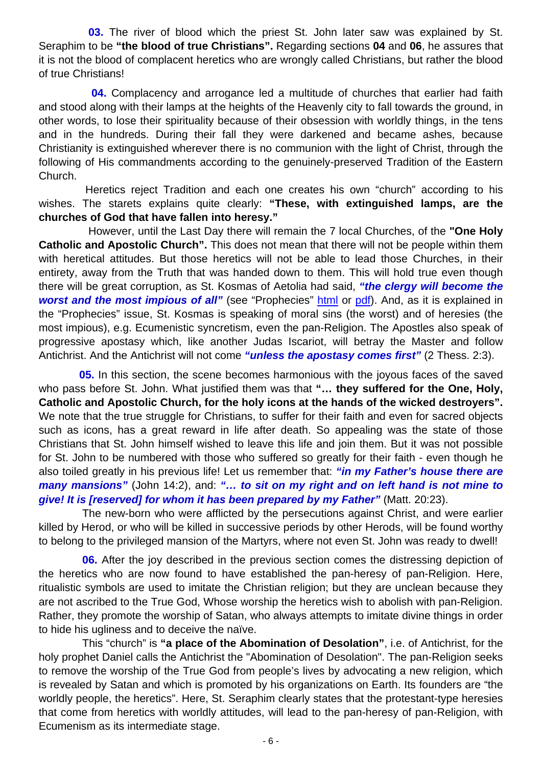**03.** The river of blood which the priest St. John later saw was explained by St. Seraphim to be **"the blood of true Christians".** Regarding sections **04** and **06**, he assures that it is not the blood of complacent heretics who are wrongly called Christians, but rather the blood of true Christians!

 **04.** Complacency and arrogance led a multitude of churches that earlier had faith and stood along with their lamps at the heights of the Heavenly city to fall towards the ground, in other words, to lose their spirituality because of their obsession with worldly things, in the tens and in the hundreds. During their fall they were darkened and became ashes, because Christianity is extinguished wherever there is no communion with the light of Christ, through the following of His commandments according to the genuinely-preserved Tradition of the Eastern Church.

 Heretics reject Tradition and each one creates his own "church" according to his wishes. The starets explains quite clearly: **"These, with extinguished lamps, are the churches of God that have fallen into heresy."**

 However, until the Last Day there will remain the 7 local Churches, of the **"One Holy Catholic and Apostolic Church".** This does not mean that there will not be people within them with heretical attitudes. But those heretics will not be able to lead those Churches, in their entirety, away from the Truth that was handed down to them. This will hold true even though there will be great corruption, as St. Kosmas of Aetolia had said, *"the clergy will become the*  **worst and the most impious of all**" (see "Prophecies" html or pdf). And, as it is explained in the "Prophecies" issue, St. Kosmas is speaking of moral sins (the worst) and of heresies (the most impious), e.g. Ecumenistic syncretism, even the pan-Religion. The Apostles also speak of progressive apostasy which, like another Judas Iscariot, will betray the Master and follow Antichrist. And the Antichrist will not come *"unless the apostasy comes first"* (2 Thess. 2:3).

 **05.** In this section, the scene becomes harmonious with the joyous faces of the saved who pass before St. John. What justified them was that **"… they suffered for the One, Holy, Catholic and Apostolic Church, for the holy icons at the hands of the wicked destroyers".** We note that the true struggle for Christians, to suffer for their faith and even for sacred objects such as icons, has a great reward in life after death. So appealing was the state of those Christians that St. John himself wished to leave this life and join them. But it was not possible for St. John to be numbered with those who suffered so greatly for their faith - even though he also toiled greatly in his previous life! Let us remember that: *"in my Father's house there are many mansions"* (John 14:2), and: *"… to sit on my right and on left hand is not mine to give! It is [reserved] for whom it has been prepared by my Father"* (Matt. 20:23).

 The new-born who were afflicted by the persecutions against Christ, and were earlier killed by Herod, or who will be killed in successive periods by other Herods, will be found worthy to belong to the privileged mansion of the Martyrs, where not even St. John was ready to dwell!

**06.** After the joy described in the previous section comes the distressing depiction of the heretics who are now found to have established the pan-heresy of pan-Religion. Here, ritualistic symbols are used to imitate the Christian religion; but they are unclean because they are not ascribed to the True God, Whose worship the heretics wish to abolish with pan-Religion. Rather, they promote the worship of Satan, who always attempts to imitate divine things in order to hide his ugliness and to deceive the naïve.

 This "church" is **"a place of the Abomination of Desolation"**, i.e. of Antichrist, for the holy prophet Daniel calls the Antichrist the "Abomination of Desolation". The pan-Religion seeks to remove the worship of the True God from people's lives by advocating a new religion, which is revealed by Satan and which is promoted by his organizations on Earth. Its founders are "the worldly people, the heretics". Here, St. Seraphim clearly states that the protestant-type heresies that come from heretics with worldly attitudes, will lead to the pan-heresy of pan-Religion, with Ecumenism as its intermediate stage.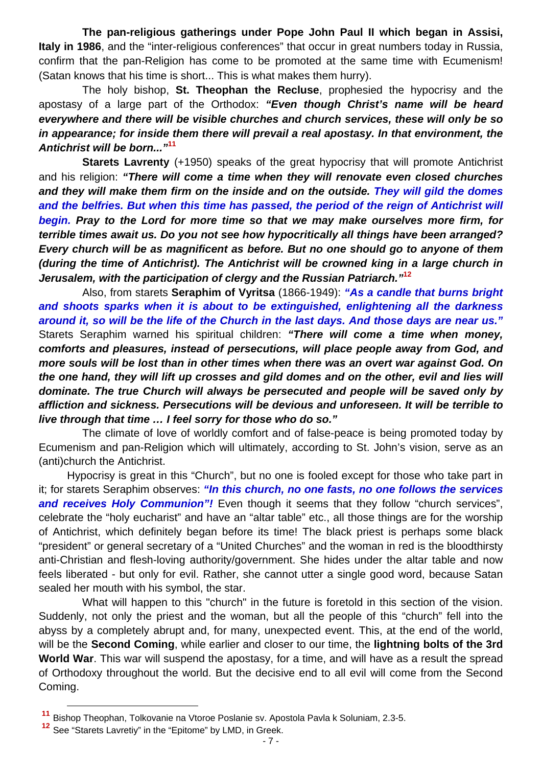**The pan-religious gatherings under Pope John Paul II which began in Assisi, Italy in 1986**, and the "inter-religious conferences" that occur in great numbers today in Russia, confirm that the pan-Religion has come to be promoted at the same time with Ecumenism! (Satan knows that his time is short... This is what makes them hurry).

 The holy bishop, **St. Theophan the Recluse**, prophesied the hypocrisy and the apostasy of a large part of the Orthodox: *"Even though Christ's name will be heard everywhere and there will be visible churches and church services, these will only be so in appearance; for inside them there will prevail a real apostasy. In that environment, the Antichrist will be born..."***<sup>11</sup>**

**Starets Lavrenty** (+1950) speaks of the great hypocrisy that will promote Antichrist and his religion: *"There will come a time when they will renovate even closed churches and they will make them firm on the inside and on the outside. They will gild the domes and the belfries. But when this time has passed, the period of the reign of Antichrist will begin. Pray to the Lord for more time so that we may make ourselves more firm, for terrible times await us. Do you not see how hypocritically all things have been arranged? Every church will be as magnificent as before. But no one should go to anyone of them (during the time of Antichrist). The Antichrist will be crowned king in a large church in Jerusalem, with the participation of clergy and the Russian Patriarch."***<sup>12</sup>**

 Also, from starets **Seraphim of Vyritsa** (1866-1949): *"As a candle that burns bright and shoots sparks when it is about to be extinguished, enlightening all the darkness around it, so will be the life of the Church in the last days. And those days are near us."* Starets Seraphim warned his spiritual children: *"There will come a time when money, comforts and pleasures, instead of persecutions, will place people away from God, and more souls will be lost than in other times when there was an overt war against God. On the one hand, they will lift up crosses and gild domes and on the other, evil and lies will dominate. The true Church will always be persecuted and people will be saved only by affliction and sickness. Persecutions will be devious and unforeseen. It will be terrible to live through that time … I feel sorry for those who do so."*

 The climate of love of worldly comfort and of false-peace is being promoted today by Ecumenism and pan-Religion which will ultimately, according to St. John's vision, serve as an (anti)church the Antichrist.

Hypocrisy is great in this "Church", but no one is fooled except for those who take part in it; for starets Seraphim observes: *"In this church, no one fasts, no one follows the services*  **and receives Holy Communion**"! Even though it seems that they follow "church services", celebrate the "holy eucharist" and have an "altar table" etc., all those things are for the worship of Antichrist, which definitely began before its time! The black priest is perhaps some black "president" or general secretary of a "United Churches" and the woman in red is the bloodthirsty anti-Christian and flesh-loving authority/government. She hides under the altar table and now feels liberated - but only for evil. Rather, she cannot utter a single good word, because Satan sealed her mouth with his symbol, the star.

 What will happen to this "church" in the future is foretold in this section of the vision. Suddenly, not only the priest and the woman, but all the people of this "church" fell into the abyss by a completely abrupt and, for many, unexpected event. This, at the end of the world, will be the **Second Coming**, while earlier and closer to our time, the **lightning bolts of the 3rd World War**. This war will suspend the apostasy, for a time, and will have as a result the spread of Orthodoxy throughout the world. But the decisive end to all evil will come from the Second Coming.

**<sup>11</sup>** Bishop Theophan, Tolkovanie na Vtoroe Poslanie sv. Apostola Pavla k Soluniam, 2.3-5.

**<sup>12</sup>** See "Starets Lavretiy" in the "Epitome" by LMD, in Greek.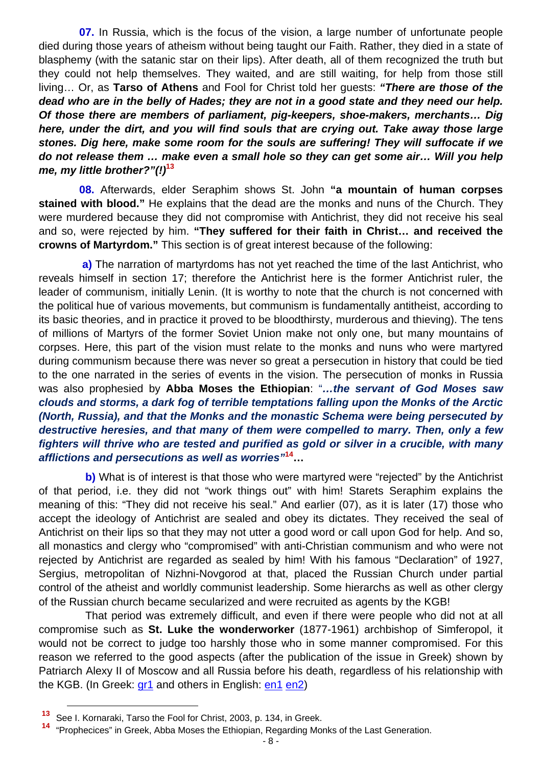**07.** In Russia, which is the focus of the vision, a large number of unfortunate people died during those years of atheism without being taught our Faith. Rather, they died in a state of blasphemy (with the satanic star on their lips). After death, all of them recognized the truth but they could not help themselves. They waited, and are still waiting, for help from those still living… Or, as **Tarso of Athens** and Fool for Christ told her guests: *"There are those of the dead who are in the belly of Hades; they are not in a good state and they need our help. Of those there are members of parliament, pig-keepers, shoe-makers, merchants… Dig here, under the dirt, and you will find souls that are crying out. Take away those large stones. Dig here, make some room for the souls are suffering! They will suffocate if we do not release them … make even a small hole so they can get some air… Will you help me, my little brother?"(!)***<sup>13</sup>**

 **08.** Afterwards, elder Seraphim shows St. John **"a mountain of human corpses stained with blood."** He explains that the dead are the monks and nuns of the Church. They were murdered because they did not compromise with Antichrist, they did not receive his seal and so, were rejected by him. **"They suffered for their faith in Christ… and received the crowns of Martyrdom."** This section is of great interest because of the following:

 **a)** The narration of martyrdoms has not yet reached the time of the last Antichrist, who reveals himself in section 17; therefore the Antichrist here is the former Antichrist ruler, the leader of communism, initially Lenin. (It is worthy to note that the church is not concerned with the political hue of various movements, but communism is fundamentally antitheist, according to its basic theories, and in practice it proved to be bloodthirsty, murderous and thieving). The tens of millions of Martyrs of the former Soviet Union make not only one, but many mountains of corpses. Here, this part of the vision must relate to the monks and nuns who were martyred during communism because there was never so great a persecution in history that could be tied to the one narrated in the series of events in the vision. The persecution of monks in Russia was also prophesied by **Abba Moses the Ethiopian**: "*…the servant of God Moses saw clouds and storms, a dark fog of terrible temptations falling upon the Monks of the Arctic (North, Russia), and that the Monks and the monastic Schema were being persecuted by destructive heresies, and that many of them were compelled to marry. Then, only a few fighters will thrive who are tested and purified as gold or silver in a crucible, with many afflictions and persecutions as well as worries"***14…** 

 **b)** What is of interest is that those who were martyred were "rejected" by the Antichrist of that period, i.e. they did not "work things out" with him! Starets Seraphim explains the meaning of this: "They did not receive his seal." And earlier (07), as it is later (17) those who accept the ideology of Antichrist are sealed and obey its dictates. They received the seal of Antichrist on their lips so that they may not utter a good word or call upon God for help. And so, all monastics and clergy who "compromised" with anti-Christian communism and who were not rejected by Antichrist are regarded as sealed by him! With his famous "Declaration" of 1927, Sergius, metropolitan of Nizhni-Novgorod at that, placed the Russian Church under partial control of the atheist and worldly communist leadership. Some hierarchs as well as other clergy of the Russian church became secularized and were recruited as agents by the KGB!

 That period was extremely difficult, and even if there were people who did not at all compromise such as **St. Luke the wonderworker** (1877-1961) archbishop of Simferopol, it would not be correct to judge too harshly those who in some manner compromised. For this reason we referred to the good aspects (after the publication of the issue in Greek) shown by Patriarch Alexy II of Moscow and all Russia before his death, regardless of his relationship with the KGB. (In Greek: gr1 and others in English: en1 en2)

**<sup>13</sup>** See I. Kornaraki, Tarso the Fool for Christ, 2003, p. 134, in Greek.

**<sup>14</sup>** "Prophecices" in Greek, Abba Moses the Ethiopian, Regarding Monks of the Last Generation.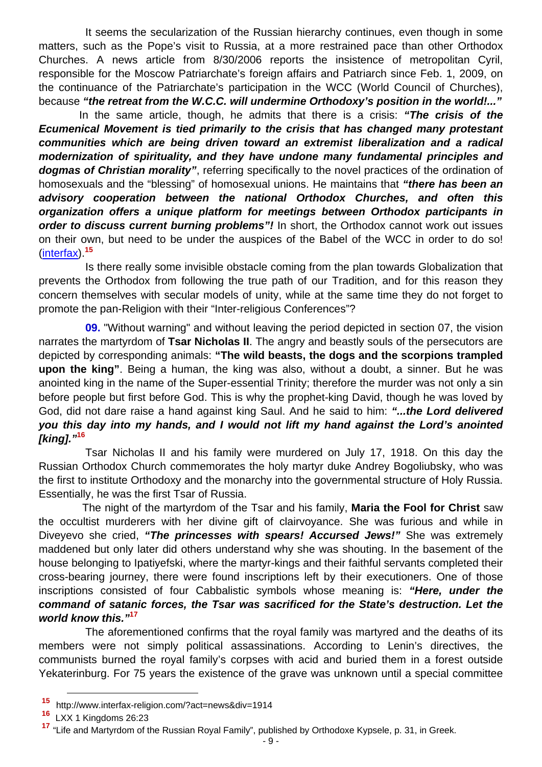It seems the secularization of the Russian hierarchy continues, even though in some matters, such as the Pope's visit to Russia, at a more restrained pace than other Orthodox Churches. A news article from 8/30/2006 reports the insistence of metropolitan Cyril, responsible for the Moscow Patriarchate's foreign affairs and Patriarch since Feb. 1, 2009, on the continuance of the Patriarchate's participation in the WCC (World Council of Churches), because *"the retreat from the W.C.C. will undermine Orthodoxy's position in the world!..."*

 In the same article, though, he admits that there is a crisis: *"The crisis of the Ecumenical Movement is tied primarily to the crisis that has changed many protestant communities which are being driven toward an extremist liberalization and a radical modernization of spirituality, and they have undone many fundamental principles and dogmas of Christian morality"*, referring specifically to the novel practices of the ordination of homosexuals and the "blessing" of homosexual unions. He maintains that *"there has been an advisory cooperation between the national Orthodox Churches, and often this organization offers a unique platform for meetings between Orthodox participants in order to discuss current burning problems"!* In short, the Orthodox cannot work out issues on their own, but need to be under the auspices of the Babel of the WCC in order to do so! (interfax).**<sup>15</sup>**

 Is there really some invisible obstacle coming from the plan towards Globalization that prevents the Orthodox from following the true path of our Tradition, and for this reason they concern themselves with secular models of unity, while at the same time they do not forget to promote the pan-Religion with their "Inter-religious Conferences"?

 **09.** "Without warning" and without leaving the period depicted in section 07, the vision narrates the martyrdom of **Tsar Nicholas II**. The angry and beastly souls of the persecutors are depicted by corresponding animals: **"The wild beasts, the dogs and the scorpions trampled upon the king"**. Being a human, the king was also, without a doubt, a sinner. But he was anointed king in the name of the Super-essential Trinity; therefore the murder was not only a sin before people but first before God. This is why the prophet-king David, though he was loved by God, did not dare raise a hand against king Saul. And he said to him: *"...the Lord delivered you this day into my hands, and I would not lift my hand against the Lord's anointed [king]."***<sup>16</sup>**

 Tsar Nicholas II and his family were murdered on July 17, 1918. On this day the Russian Orthodox Church commemorates the holy martyr duke Andrey Bogoliubsky, who was the first to institute Orthodoxy and the monarchy into the governmental structure of Holy Russia. Essentially, he was the first Tsar of Russia.

 The night of the martyrdom of the Tsar and his family, **Maria the Fool for Christ** saw the occultist murderers with her divine gift of clairvoyance. She was furious and while in Diveyevo she cried, *"The princesses with spears! Accursed Jews!"* She was extremely maddened but only later did others understand why she was shouting. In the basement of the house belonging to Ipatiyefski, where the martyr-kings and their faithful servants completed their cross-bearing journey, there were found inscriptions left by their executioners. One of those inscriptions consisted of four Cabbalistic symbols whose meaning is: *"Here, under the command of satanic forces, the Tsar was sacrificed for the State's destruction. Let the world know this."***<sup>17</sup>**

 The aforementioned confirms that the royal family was martyred and the deaths of its members were not simply political assassinations. According to Lenin's directives, the communists burned the royal family's corpses with acid and buried them in a forest outside Yekaterinburg. For 75 years the existence of the grave was unknown until a special committee

**<sup>15</sup>** http://www.interfax-religion.com/?act=news&div=1914

**<sup>16</sup>** LXX 1 Kingdoms 26:23

**<sup>17</sup>** "Life and Martyrdom of the Russian Royal Family", published by Orthodoxe Kypsele, p. 31, in Greek.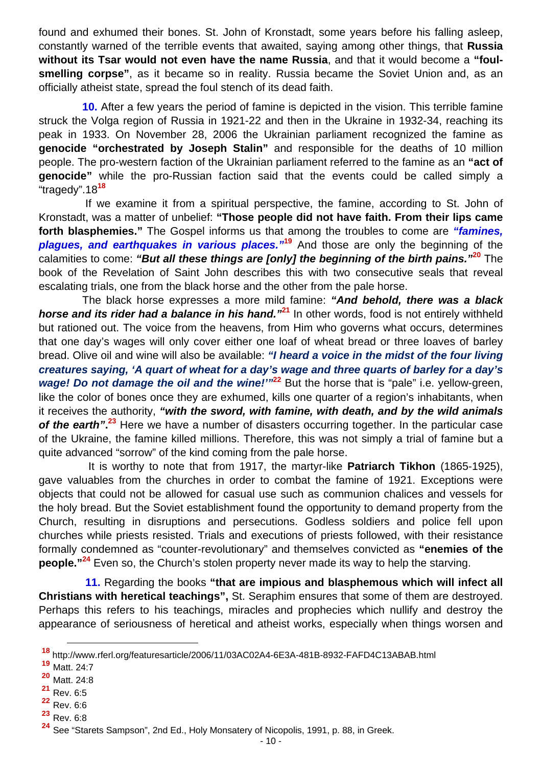found and exhumed their bones. St. John of Kronstadt, some years before his falling asleep, constantly warned of the terrible events that awaited, saying among other things, that **Russia without its Tsar would not even have the name Russia**, and that it would become a **"foulsmelling corpse"**, as it became so in reality. Russia became the Soviet Union and, as an officially atheist state, spread the foul stench of its dead faith.

 **10.** After a few years the period of famine is depicted in the vision. This terrible famine struck the Volga region of Russia in 1921-22 and then in the Ukraine in 1932-34, reaching its peak in 1933. On November 28, 2006 the Ukrainian parliament recognized the famine as **genocide "orchestrated by Joseph Stalin"** and responsible for the deaths of 10 million people. The pro-western faction of the Ukrainian parliament referred to the famine as an **"act of genocide"** while the pro-Russian faction said that the events could be called simply a "tragedy".18**<sup>18</sup>**

 If we examine it from a spiritual perspective, the famine, according to St. John of Kronstadt, was a matter of unbelief: **"Those people did not have faith. From their lips came forth blasphemies."** The Gospel informs us that among the troubles to come are *"famines, plagues, and earthquakes in various places."***<sup>19</sup>** And those are only the beginning of the calamities to come: *"But all these things are [only] the beginning of the birth pains."***<sup>20</sup>** The book of the Revelation of Saint John describes this with two consecutive seals that reveal escalating trials, one from the black horse and the other from the pale horse.

 The black horse expresses a more mild famine: *"And behold, there was a black horse and its rider had a balance in his hand."***<sup>21</sup>** In other words, food is not entirely withheld but rationed out. The voice from the heavens, from Him who governs what occurs, determines that one day's wages will only cover either one loaf of wheat bread or three loaves of barley bread. Olive oil and wine will also be available: *"I heard a voice in the midst of the four living creatures saying, 'A quart of wheat for a day's wage and three quarts of barley for a day's wage! Do not damage the oil and the wine!"<sup>22</sup>* But the horse that is "pale" i.e. yellow-green, like the color of bones once they are exhumed, kills one quarter of a region's inhabitants, when it receives the authority, *"with the sword, with famine, with death, and by the wild animals*  of the earth".<sup>23</sup> Here we have a number of disasters occurring together. In the particular case of the Ukraine, the famine killed millions. Therefore, this was not simply a trial of famine but a quite advanced "sorrow" of the kind coming from the pale horse.

 It is worthy to note that from 1917, the martyr-like **Patriarch Tikhon** (1865-1925), gave valuables from the churches in order to combat the famine of 1921. Exceptions were objects that could not be allowed for casual use such as communion chalices and vessels for the holy bread. But the Soviet establishment found the opportunity to demand property from the Church, resulting in disruptions and persecutions. Godless soldiers and police fell upon churches while priests resisted. Trials and executions of priests followed, with their resistance formally condemned as "counter-revolutionary" and themselves convicted as **"enemies of the people."24** Even so, the Church's stolen property never made its way to help the starving.

 **11.** Regarding the books **"that are impious and blasphemous which will infect all Christians with heretical teachings",** St. Seraphim ensures that some of them are destroyed. Perhaps this refers to his teachings, miracles and prophecies which nullify and destroy the appearance of seriousness of heretical and atheist works, especially when things worsen and

**<sup>18</sup>** http://www.rferl.org/featuresarticle/2006/11/03AC02A4-6E3A-481B-8932-FAFD4C13ABAB.html

**<sup>19</sup>** Matt. 24:7

**<sup>20</sup>** Matt. 24:8

 $\frac{21}{22}$  Rev. 6:5

 $\frac{22}{23}$  Rev. 6:6

**<sup>23</sup>** Rev. 6:8

**<sup>24</sup>** See "Starets Sampson", 2nd Ed., Holy Monsatery of Nicopolis, 1991, p. 88, in Greek.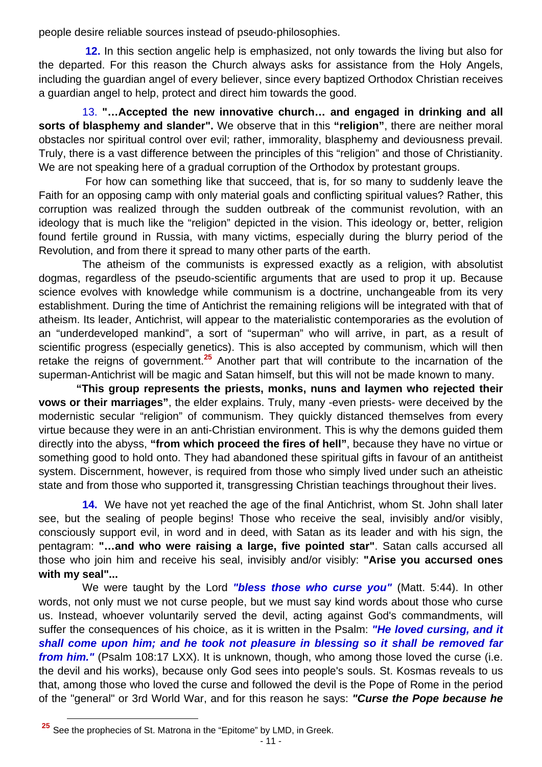people desire reliable sources instead of pseudo-philosophies.

 **12.** In this section angelic help is emphasized, not only towards the living but also for the departed. For this reason the Church always asks for assistance from the Holy Angels, including the guardian angel of every believer, since every baptized Orthodox Christian receives a guardian angel to help, protect and direct him towards the good.

 13. **"…Accepted the new innovative church… and engaged in drinking and all sorts of blasphemy and slander".** We observe that in this **"religion"**, there are neither moral obstacles nor spiritual control over evil; rather, immorality, blasphemy and deviousness prevail. Truly, there is a vast difference between the principles of this "religion" and those of Christianity. We are not speaking here of a gradual corruption of the Orthodox by protestant groups.

 For how can something like that succeed, that is, for so many to suddenly leave the Faith for an opposing camp with only material goals and conflicting spiritual values? Rather, this corruption was realized through the sudden outbreak of the communist revolution, with an ideology that is much like the "religion" depicted in the vision. This ideology or, better, religion found fertile ground in Russia, with many victims, especially during the blurry period of the Revolution, and from there it spread to many other parts of the earth.

 The atheism of the communists is expressed exactly as a religion, with absolutist dogmas, regardless of the pseudo-scientific arguments that are used to prop it up. Because science evolves with knowledge while communism is a doctrine, unchangeable from its very establishment. During the time of Antichrist the remaining religions will be integrated with that of atheism. Its leader, Antichrist, will appear to the materialistic contemporaries as the evolution of an "underdeveloped mankind", a sort of "superman" who will arrive, in part, as a result of scientific progress (especially genetics). This is also accepted by communism, which will then retake the reigns of government.**<sup>25</sup>** Another part that will contribute to the incarnation of the superman-Antichrist will be magic and Satan himself, but this will not be made known to many.

 **"This group represents the priests, monks, nuns and laymen who rejected their vows or their marriages"**, the elder explains. Truly, many -even priests- were deceived by the modernistic secular "religion" of communism. They quickly distanced themselves from every virtue because they were in an anti-Christian environment. This is why the demons guided them directly into the abyss, **"from which proceed the fires of hell"**, because they have no virtue or something good to hold onto. They had abandoned these spiritual gifts in favour of an antitheist system. Discernment, however, is required from those who simply lived under such an atheistic state and from those who supported it, transgressing Christian teachings throughout their lives.

 **14.** We have not yet reached the age of the final Antichrist, whom St. John shall later see, but the sealing of people begins! Those who receive the seal, invisibly and/or visibly, consciously support evil, in word and in deed, with Satan as its leader and with his sign, the pentagram: **"…and who were raising a large, five pointed star"**. Satan calls accursed all those who join him and receive his seal, invisibly and/or visibly: **"Arise you accursed ones with my seal"...**

 We were taught by the Lord *"bless those who curse you"* (Matt. 5:44). In other words, not only must we not curse people, but we must say kind words about those who curse us. Instead, whoever voluntarily served the devil, acting against God's commandments, will suffer the consequences of his choice, as it is written in the Psalm: *"He loved cursing, and it shall come upon him; and he took not pleasure in blessing so it shall be removed far from him.*" (Psalm 108:17 LXX). It is unknown, though, who among those loved the curse (i.e. the devil and his works), because only God sees into people's souls. St. Kosmas reveals to us that, among those who loved the curse and followed the devil is the Pope of Rome in the period of the "general" or 3rd World War, and for this reason he says: *"Curse the Pope because he* 

**<sup>25</sup>** See the prophecies of St. Matrona in the "Epitome" by LMD, in Greek.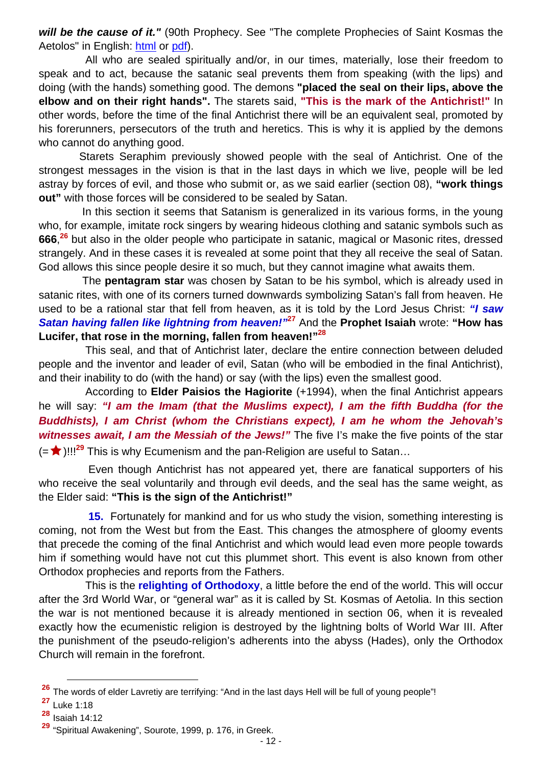*will be the cause of it."* (90th Prophecy. See "The complete Prophecies of Saint Kosmas the Aetolos" in English: html or pdf).

 All who are sealed spiritually and/or, in our times, materially, lose their freedom to speak and to act, because the satanic seal prevents them from speaking (with the lips) and doing (with the hands) something good. The demons **"placed the seal on their lips, above the elbow and on their right hands".** The starets said, **"This is the mark of the Antichrist!"** In other words, before the time of the final Antichrist there will be an equivalent seal, promoted by his forerunners, persecutors of the truth and heretics. This is why it is applied by the demons who cannot do anything good.

 Starets Seraphim previously showed people with the seal of Antichrist. One of the strongest messages in the vision is that in the last days in which we live, people will be led astray by forces of evil, and those who submit or, as we said earlier (section 08), **"work things out"** with those forces will be considered to be sealed by Satan.

 In this section it seems that Satanism is generalized in its various forms, in the young who, for example, imitate rock singers by wearing hideous clothing and satanic symbols such as **666**, **<sup>26</sup>** but also in the older people who participate in satanic, magical or Masonic rites, dressed strangely. And in these cases it is revealed at some point that they all receive the seal of Satan. God allows this since people desire it so much, but they cannot imagine what awaits them.

 The **pentagram star** was chosen by Satan to be his symbol, which is already used in satanic rites, with one of its corners turned downwards symbolizing Satan's fall from heaven. He used to be a rational star that fell from heaven, as it is told by the Lord Jesus Christ: *"I saw Satan having fallen like lightning from heaven!"***<sup>27</sup>** And the **Prophet Isaiah** wrote: **"How has Lucifer, that rose in the morning, fallen from heaven!"28**

 This seal, and that of Antichrist later, declare the entire connection between deluded people and the inventor and leader of evil, Satan (who will be embodied in the final Antichrist), and their inability to do (with the hand) or say (with the lips) even the smallest good.

 According to **Elder Paisios the Hagiorite** (+1994), when the final Antichrist appears he will say: *"I am the Imam (that the Muslims expect), I am the fifth Buddha (for the Buddhists), I am Christ (whom the Christians expect), I am he whom the Jehovah's*  **witnesses await, I am the Messiah of the Jews!**" The five I's make the five points of the star (= ★)!!!<sup>29</sup> This is why Ecumenism and the pan-Religion are useful to Satan...

 Even though Antichrist has not appeared yet, there are fanatical supporters of his who receive the seal voluntarily and through evil deeds, and the seal has the same weight, as the Elder said: **"This is the sign of the Antichrist!"**

 **15.** Fortunately for mankind and for us who study the vision, something interesting is coming, not from the West but from the East. This changes the atmosphere of gloomy events that precede the coming of the final Antichrist and which would lead even more people towards him if something would have not cut this plummet short. This event is also known from other Orthodox prophecies and reports from the Fathers.

 This is the **relighting of Orthodoxy**, a little before the end of the world. This will occur after the 3rd World War, or "general war" as it is called by St. Kosmas of Aetolia. In this section the war is not mentioned because it is already mentioned in section 06, when it is revealed exactly how the ecumenistic religion is destroyed by the lightning bolts of World War III. After the punishment of the pseudo-religion's adherents into the abyss (Hades), only the Orthodox Church will remain in the forefront.

**<sup>26</sup>** The words of elder Lavretiy are terrifying: "And in the last days Hell will be full of young people"!

**<sup>27</sup>** Luke 1:18

**<sup>28</sup>** Isaiah 14:12

**<sup>29</sup>** "Spiritual Awakening", Sourote, 1999, p. 176, in Greek.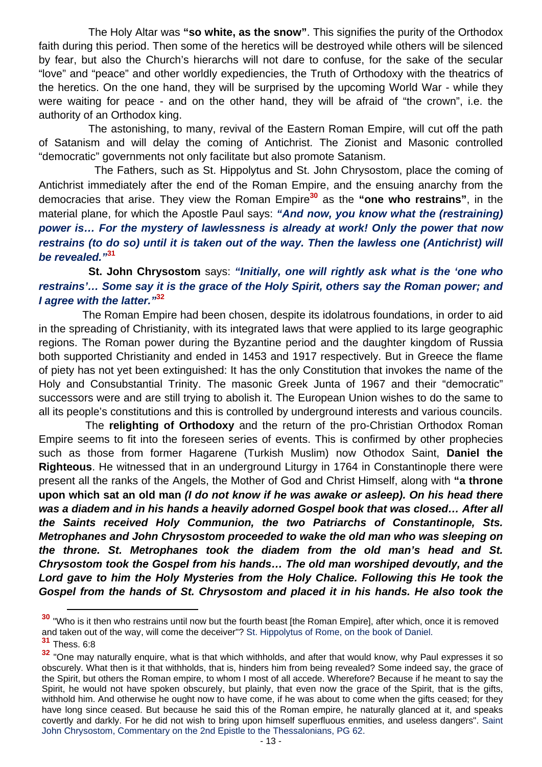The Holy Altar was **"so white, as the snow"**. This signifies the purity of the Orthodox faith during this period. Then some of the heretics will be destroyed while others will be silenced by fear, but also the Church's hierarchs will not dare to confuse, for the sake of the secular "love" and "peace" and other worldly expediencies, the Truth of Orthodoxy with the theatrics of the heretics. On the one hand, they will be surprised by the upcoming World War - while they were waiting for peace - and on the other hand, they will be afraid of "the crown", i.e. the authority of an Orthodox king.

 The astonishing, to many, revival of the Eastern Roman Empire, will cut off the path of Satanism and will delay the coming of Antichrist. The Zionist and Masonic controlled "democratic" governments not only facilitate but also promote Satanism.

 The Fathers, such as St. Hippolytus and St. John Chrysostom, place the coming of Antichrist immediately after the end of the Roman Empire, and the ensuing anarchy from the democracies that arise. They view the Roman Empire**<sup>30</sup>** as the **"one who restrains"**, in the material plane, for which the Apostle Paul says: *"And now, you know what the (restraining) power is… For the mystery of lawlessness is already at work! Only the power that now restrains (to do so) until it is taken out of the way. Then the lawless one (Antichrist) will be revealed."***<sup>31</sup>**

## **St. John Chrysostom** says: *"Initially, one will rightly ask what is the 'one who restrains'… Some say it is the grace of the Holy Spirit, others say the Roman power; and I agree with the latter."***<sup>32</sup>**

 The Roman Empire had been chosen, despite its idolatrous foundations, in order to aid in the spreading of Christianity, with its integrated laws that were applied to its large geographic regions. The Roman power during the Byzantine period and the daughter kingdom of Russia both supported Christianity and ended in 1453 and 1917 respectively. But in Greece the flame of piety has not yet been extinguished: It has the only Constitution that invokes the name of the Holy and Consubstantial Trinity. The masonic Greek Junta of 1967 and their "democratic" successors were and are still trying to abolish it. The European Union wishes to do the same to all its people's constitutions and this is controlled by underground interests and various councils.

 The **relighting of Orthodoxy** and the return of the pro-Christian Orthodox Roman Empire seems to fit into the foreseen series of events. This is confirmed by other prophecies such as those from former Hagarene (Turkish Muslim) now Othodox Saint, **Daniel the Righteous**. He witnessed that in an underground Liturgy in 1764 in Constantinople there were present all the ranks of the Angels, the Mother of God and Christ Himself, along with **"a throne upon which sat an old man** *(I do not know if he was awake or asleep). On his head there was a diadem and in his hands a heavily adorned Gospel book that was closed… After all the Saints received Holy Communion, the two Patriarchs of Constantinople, Sts. Metrophanes and John Chrysostom proceeded to wake the old man who was sleeping on the throne. St. Metrophanes took the diadem from the old man's head and St. Chrysostom took the Gospel from his hands… The old man worshiped devoutly, and the*  Lord gave to him the Holy Mysteries from the Holy Chalice. Following this He took the Gospel from the hands of St. Chrysostom and placed it in his hands. He also took the

**<sup>30</sup>** "Who is it then who restrains until now but the fourth beast [the Roman Empire], after which, once it is removed and taken out of the way, will come the deceiver"? St. Hippolytus of Rome, on the book of Daniel.

**<sup>31</sup>** Thess. 6:8

**<sup>32</sup>** "One may naturally enquire, what is that which withholds, and after that would know, why Paul expresses it so obscurely. What then is it that withholds, that is, hinders him from being revealed? Some indeed say, the grace of the Spirit, but others the Roman empire, to whom I most of all accede. Wherefore? Because if he meant to say the Spirit, he would not have spoken obscurely, but plainly, that even now the grace of the Spirit, that is the gifts, withhold him. And otherwise he ought now to have come, if he was about to come when the gifts ceased; for they have long since ceased. But because he said this of the Roman empire, he naturally glanced at it, and speaks covertly and darkly. For he did not wish to bring upon himself superfluous enmities, and useless dangers". Saint John Chrysostom, Commentary on the 2nd Epistle to the Thessalonians, PG 62.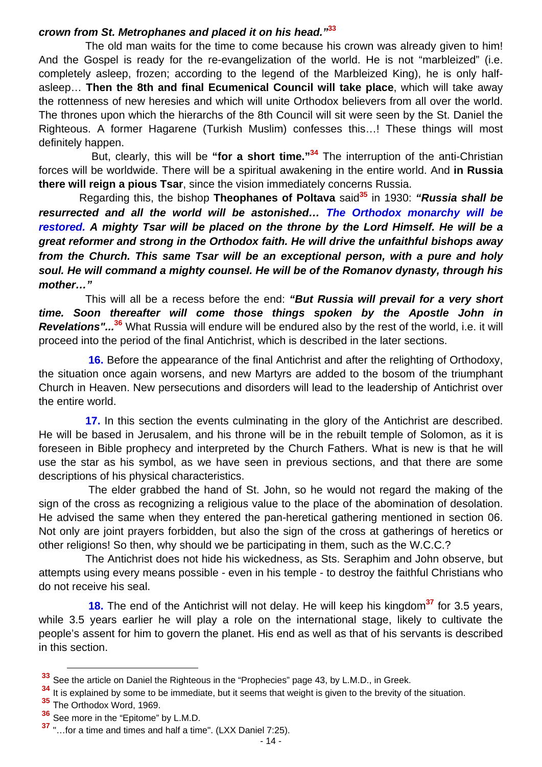### *crown from St. Metrophanes and placed it on his head."***<sup>33</sup>**

 The old man waits for the time to come because his crown was already given to him! And the Gospel is ready for the re-evangelization of the world. He is not "marbleized" (i.e. completely asleep, frozen; according to the legend of the Marbleized King), he is only halfasleep… **Then the 8th and final Ecumenical Council will take place**, which will take away the rottenness of new heresies and which will unite Orthodox believers from all over the world. The thrones upon which the hierarchs of the 8th Council will sit were seen by the St. Daniel the Righteous. A former Hagarene (Turkish Muslim) confesses this…! These things will most definitely happen.

 But, clearly, this will be **"for a short time."34** The interruption of the anti-Christian forces will be worldwide. There will be a spiritual awakening in the entire world. And **in Russia there will reign a pious Tsar**, since the vision immediately concerns Russia.

 Regarding this, the bishop **Theophanes of Poltava** said**<sup>35</sup>** in 1930: *"Russia shall be resurrected and all the world will be astonished… The Orthodox monarchy will be restored. A mighty Tsar will be placed on the throne by the Lord Himself. He will be a great reformer and strong in the Orthodox faith. He will drive the unfaithful bishops away from the Church. This same Tsar will be an exceptional person, with a pure and holy soul. He will command a mighty counsel. He will be of the Romanov dynasty, through his mother…"*

 This will all be a recess before the end: *"But Russia will prevail for a very short time. Soon thereafter will come those things spoken by the Apostle John in Revelations"...***<sup>36</sup>** What Russia will endure will be endured also by the rest of the world, i.e. it will proceed into the period of the final Antichrist, which is described in the later sections.

 **16.** Before the appearance of the final Antichrist and after the relighting of Orthodoxy, the situation once again worsens, and new Martyrs are added to the bosom of the triumphant Church in Heaven. New persecutions and disorders will lead to the leadership of Antichrist over the entire world.

 **17.** In this section the events culminating in the glory of the Antichrist are described. He will be based in Jerusalem, and his throne will be in the rebuilt temple of Solomon, as it is foreseen in Bible prophecy and interpreted by the Church Fathers. What is new is that he will use the star as his symbol, as we have seen in previous sections, and that there are some descriptions of his physical characteristics.

 The elder grabbed the hand of St. John, so he would not regard the making of the sign of the cross as recognizing a religious value to the place of the abomination of desolation. He advised the same when they entered the pan-heretical gathering mentioned in section 06. Not only are joint prayers forbidden, but also the sign of the cross at gatherings of heretics or other religions! So then, why should we be participating in them, such as the W.C.C.?

 The Antichrist does not hide his wickedness, as Sts. Seraphim and John observe, but attempts using every means possible - even in his temple - to destroy the faithful Christians who do not receive his seal.

 **18.** The end of the Antichrist will not delay. He will keep his kingdom**<sup>37</sup>** for 3.5 years, while 3.5 years earlier he will play a role on the international stage, likely to cultivate the people's assent for him to govern the planet. His end as well as that of his servants is described in this section.

**<sup>33</sup>** See the article on Daniel the Righteous in the "Prophecies" page 43, by L.M.D., in Greek.

**<sup>34</sup>** It is explained by some to be immediate, but it seems that weight is given to the brevity of the situation.

**<sup>35</sup>** Τhe Orthodox Word, 1969.

**<sup>36</sup>** See more in the "Epitome" by L.M.D.

**<sup>37</sup>** "…for a time and times and half a time". (LXX Daniel 7:25).